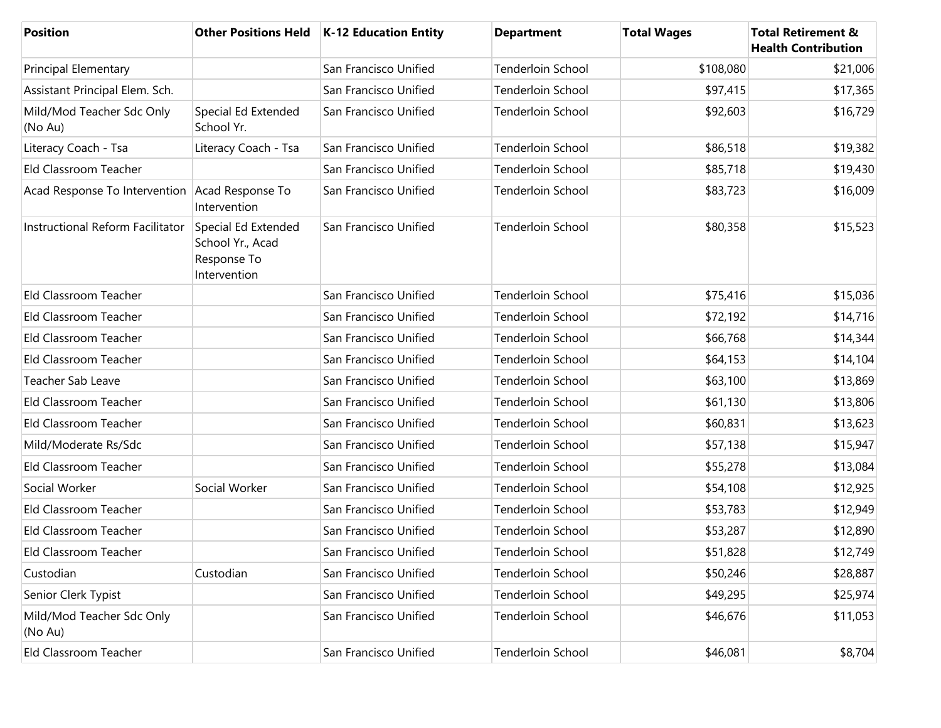| <b>Position</b>                                |                                                                        | Other Positions Held   K-12 Education Entity | <b>Department</b>        | <b>Total Wages</b> | <b>Total Retirement &amp;</b><br><b>Health Contribution</b> |
|------------------------------------------------|------------------------------------------------------------------------|----------------------------------------------|--------------------------|--------------------|-------------------------------------------------------------|
| <b>Principal Elementary</b>                    |                                                                        | San Francisco Unified                        | Tenderloin School        | \$108,080          | \$21,006                                                    |
| Assistant Principal Elem. Sch.                 |                                                                        | San Francisco Unified                        | Tenderloin School        | \$97,415           | \$17,365                                                    |
| Mild/Mod Teacher Sdc Only<br>(No Au)           | Special Ed Extended<br>School Yr.                                      | San Francisco Unified                        | Tenderloin School        | \$92,603           | \$16,729                                                    |
| Literacy Coach - Tsa                           | Literacy Coach - Tsa                                                   | San Francisco Unified                        | <b>Tenderloin School</b> | \$86,518           | \$19,382                                                    |
| Eld Classroom Teacher                          |                                                                        | San Francisco Unified                        | <b>Tenderloin School</b> | \$85,718           | \$19,430                                                    |
| Acad Response To Intervention Acad Response To | Intervention                                                           | San Francisco Unified                        | Tenderloin School        | \$83,723           | \$16,009                                                    |
| Instructional Reform Facilitator               | Special Ed Extended<br>School Yr., Acad<br>Response To<br>Intervention | San Francisco Unified                        | <b>Tenderloin School</b> | \$80,358           | \$15,523                                                    |
| Eld Classroom Teacher                          |                                                                        | San Francisco Unified                        | <b>Tenderloin School</b> | \$75,416           | \$15,036                                                    |
| Eld Classroom Teacher                          |                                                                        | San Francisco Unified                        | <b>Tenderloin School</b> | \$72,192           | \$14,716                                                    |
| Eld Classroom Teacher                          |                                                                        | San Francisco Unified                        | Tenderloin School        | \$66,768           | \$14,344                                                    |
| Eld Classroom Teacher                          |                                                                        | San Francisco Unified                        | Tenderloin School        | \$64,153           | \$14,104                                                    |
| Teacher Sab Leave                              |                                                                        | San Francisco Unified                        | Tenderloin School        | \$63,100           | \$13,869                                                    |
| Eld Classroom Teacher                          |                                                                        | San Francisco Unified                        | Tenderloin School        | \$61,130           | \$13,806                                                    |
| Eld Classroom Teacher                          |                                                                        | San Francisco Unified                        | Tenderloin School        | \$60,831           | \$13,623                                                    |
| Mild/Moderate Rs/Sdc                           |                                                                        | San Francisco Unified                        | Tenderloin School        | \$57,138           | \$15,947                                                    |
| Eld Classroom Teacher                          |                                                                        | San Francisco Unified                        | Tenderloin School        | \$55,278           | \$13,084                                                    |
| Social Worker                                  | Social Worker                                                          | San Francisco Unified                        | <b>Tenderloin School</b> | \$54,108           | \$12,925                                                    |
| Eld Classroom Teacher                          |                                                                        | San Francisco Unified                        | <b>Tenderloin School</b> | \$53,783           | \$12,949                                                    |
| Eld Classroom Teacher                          |                                                                        | San Francisco Unified                        | Tenderloin School        | \$53,287           | \$12,890                                                    |
| Eld Classroom Teacher                          |                                                                        | San Francisco Unified                        | Tenderloin School        | \$51,828           | \$12,749                                                    |
| Custodian                                      | Custodian                                                              | San Francisco Unified                        | Tenderloin School        | \$50,246           | \$28,887                                                    |
| Senior Clerk Typist                            |                                                                        | San Francisco Unified                        | Tenderloin School        | \$49,295           | \$25,974                                                    |
| Mild/Mod Teacher Sdc Only<br>(No Au)           |                                                                        | San Francisco Unified                        | Tenderloin School        | \$46,676           | \$11,053                                                    |
| Eld Classroom Teacher                          |                                                                        | San Francisco Unified                        | Tenderloin School        | \$46,081           | \$8,704                                                     |